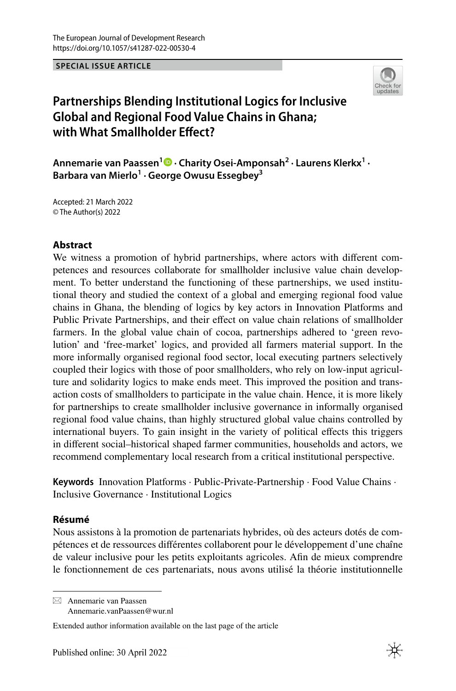**SPECIAL ISSUE ARTICLE**



# **Partnerships Blending Institutional Logics for Inclusive Global and Regional Food Value Chains in Ghana; with What Smallholder Efect?**

**Annemarie van Paassen1 · Charity Osei‑Amponsah2 · Laurens Klerkx1 · Barbara van Mierlo1 · George Owusu Essegbey3**

Accepted: 21 March 2022 © The Author(s) 2022

### **Abstract**

We witness a promotion of hybrid partnerships, where actors with diferent competences and resources collaborate for smallholder inclusive value chain development. To better understand the functioning of these partnerships, we used institutional theory and studied the context of a global and emerging regional food value chains in Ghana, the blending of logics by key actors in Innovation Platforms and Public Private Partnerships, and their efect on value chain relations of smallholder farmers. In the global value chain of cocoa, partnerships adhered to 'green revolution' and 'free-market' logics, and provided all farmers material support. In the more informally organised regional food sector, local executing partners selectively coupled their logics with those of poor smallholders, who rely on low-input agriculture and solidarity logics to make ends meet. This improved the position and transaction costs of smallholders to participate in the value chain. Hence, it is more likely for partnerships to create smallholder inclusive governance in informally organised regional food value chains, than highly structured global value chains controlled by international buyers. To gain insight in the variety of political efects this triggers in diferent social–historical shaped farmer communities, households and actors, we recommend complementary local research from a critical institutional perspective.

**Keywords** Innovation Platforms · Public-Private-Partnership · Food Value Chains · Inclusive Governance · Institutional Logics

### **Résumé**

Nous assistons à la promotion de partenariats hybrides, où des acteurs dotés de compétences et de ressources diférentes collaborent pour le développement d'une chaîne de valeur inclusive pour les petits exploitants agricoles. Afn de mieux comprendre le fonctionnement de ces partenariats, nous avons utilisé la théorie institutionnelle

 $\boxtimes$  Annemarie van Paassen Annemarie.vanPaassen@wur.nl

Extended author information available on the last page of the article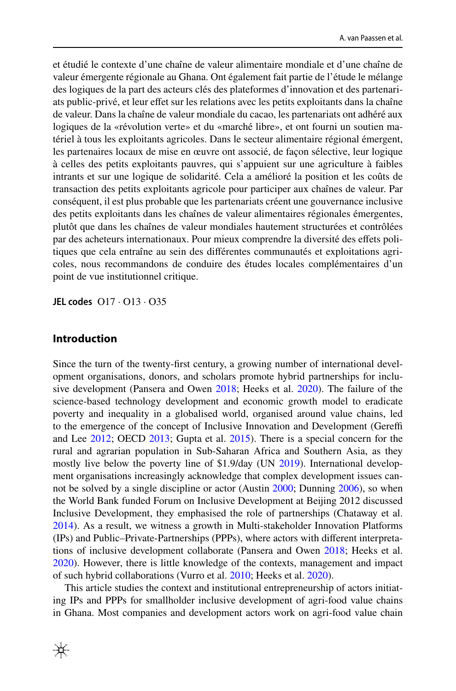et étudié le contexte d'une chaîne de valeur alimentaire mondiale et d'une chaîne de valeur émergente régionale au Ghana. Ont également fait partie de l'étude le mélange des logiques de la part des acteurs clés des plateformes d'innovation et des partenariats public-privé, et leur efet sur les relations avec les petits exploitants dans la chaîne de valeur. Dans la chaîne de valeur mondiale du cacao, les partenariats ont adhéré aux logiques de la «révolution verte» et du «marché libre», et ont fourni un soutien matériel à tous les exploitants agricoles. Dans le secteur alimentaire régional émergent, les partenaires locaux de mise en œuvre ont associé, de façon sélective, leur logique à celles des petits exploitants pauvres, qui s'appuient sur une agriculture à faibles intrants et sur une logique de solidarité. Cela a amélioré la position et les coûts de transaction des petits exploitants agricole pour participer aux chaînes de valeur. Par conséquent, il est plus probable que les partenariats créent une gouvernance inclusive des petits exploitants dans les chaînes de valeur alimentaires régionales émergentes, plutôt que dans les chaînes de valeur mondiales hautement structurées et contrôlées par des acheteurs internationaux. Pour mieux comprendre la diversité des efets politiques que cela entraîne au sein des diférentes communautés et exploitations agricoles, nous recommandons de conduire des études locales complémentaires d'un point de vue institutionnel critique.

**JEL codes** O17 · O13 · O35

### **Introduction**

Since the turn of the twenty-frst century, a growing number of international development organisations, donors, and scholars promote hybrid partnerships for inclusive development (Pansera and Owen [2018;](#page-22-0) Heeks et al. [2020\)](#page-21-0). The failure of the science-based technology development and economic growth model to eradicate poverty and inequality in a globalised world, organised around value chains, led to the emergence of the concept of Inclusive Innovation and Development (Geref and Lee [2012](#page-21-1); OECD [2013;](#page-22-1) Gupta et al. [2015](#page-21-2)). There is a special concern for the rural and agrarian population in Sub-Saharan Africa and Southern Asia, as they mostly live below the poverty line of \$1.9/day (UN [2019](#page-23-0)). International development organisations increasingly acknowledge that complex development issues cannot be solved by a single discipline or actor (Austin [2000;](#page-20-0) Dunning [2006](#page-21-3)), so when the World Bank funded Forum on Inclusive Development at Beijing 2012 discussed Inclusive Development, they emphasised the role of partnerships (Chataway et al. [2014](#page-21-4)). As a result, we witness a growth in Multi-stakeholder Innovation Platforms (IPs) and Public–Private-Partnerships (PPPs), where actors with diferent interpretations of inclusive development collaborate (Pansera and Owen [2018;](#page-22-0) Heeks et al. [2020](#page-21-0)). However, there is little knowledge of the contexts, management and impact of such hybrid collaborations (Vurro et al. [2010;](#page-23-1) Heeks et al. [2020](#page-21-0)).

This article studies the context and institutional entrepreneurship of actors initiating IPs and PPPs for smallholder inclusive development of agri-food value chains in Ghana. Most companies and development actors work on agri-food value chain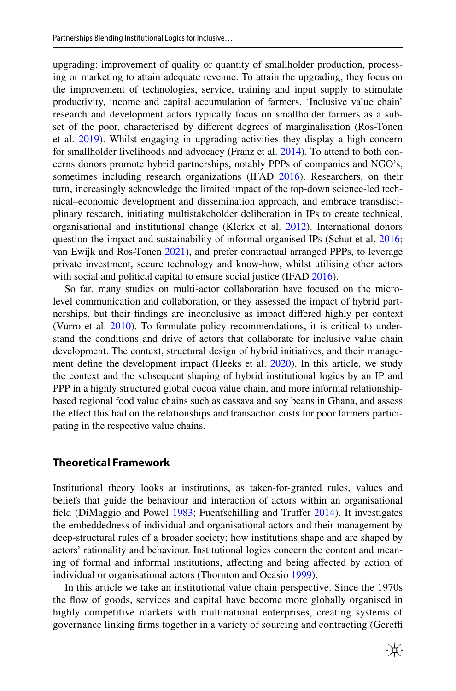upgrading: improvement of quality or quantity of smallholder production, processing or marketing to attain adequate revenue. To attain the upgrading, they focus on the improvement of technologies, service, training and input supply to stimulate productivity, income and capital accumulation of farmers. 'Inclusive value chain' research and development actors typically focus on smallholder farmers as a subset of the poor, characterised by diferent degrees of marginalisation (Ros-Tonen et al. [2019\)](#page-22-2). Whilst engaging in upgrading activities they display a high concern for smallholder livelihoods and advocacy (Franz et al. [2014](#page-21-5)). To attend to both concerns donors promote hybrid partnerships, notably PPPs of companies and NGO's, sometimes including research organizations (IFAD [2016\)](#page-21-6). Researchers, on their turn, increasingly acknowledge the limited impact of the top-down science-led technical–economic development and dissemination approach, and embrace transdisciplinary research, initiating multistakeholder deliberation in IPs to create technical, organisational and institutional change (Klerkx et al. [2012](#page-22-3)). International donors question the impact and sustainability of informal organised IPs (Schut et al. [2016;](#page-23-2) van Ewijk and Ros-Tonen [2021\)](#page-23-3), and prefer contractual arranged PPPs, to leverage private investment, secure technology and know-how, whilst utilising other actors with social and political capital to ensure social justice (IFAD [2016\)](#page-21-6).

So far, many studies on multi-actor collaboration have focused on the microlevel communication and collaboration, or they assessed the impact of hybrid partnerships, but their fndings are inconclusive as impact difered highly per context (Vurro et al. [2010](#page-23-1)). To formulate policy recommendations, it is critical to understand the conditions and drive of actors that collaborate for inclusive value chain development. The context, structural design of hybrid initiatives, and their manage-ment define the development impact (Heeks et al. [2020\)](#page-21-0). In this article, we study the context and the subsequent shaping of hybrid institutional logics by an IP and PPP in a highly structured global cocoa value chain, and more informal relationshipbased regional food value chains such as cassava and soy beans in Ghana, and assess the effect this had on the relationships and transaction costs for poor farmers participating in the respective value chains.

### **Theoretical Framework**

Institutional theory looks at institutions, as taken-for-granted rules, values and beliefs that guide the behaviour and interaction of actors within an organisational field (DiMaggio and Powel [1983](#page-21-7); Fuenfschilling and Truffer [2014\)](#page-21-8). It investigates the embeddedness of individual and organisational actors and their management by deep-structural rules of a broader society; how institutions shape and are shaped by actors' rationality and behaviour. Institutional logics concern the content and meaning of formal and informal institutions, afecting and being afected by action of individual or organisational actors (Thornton and Ocasio [1999\)](#page-23-4).

In this article we take an institutional value chain perspective. Since the 1970s the fow of goods, services and capital have become more globally organised in highly competitive markets with multinational enterprises, creating systems of governance linking frms together in a variety of sourcing and contracting (Geref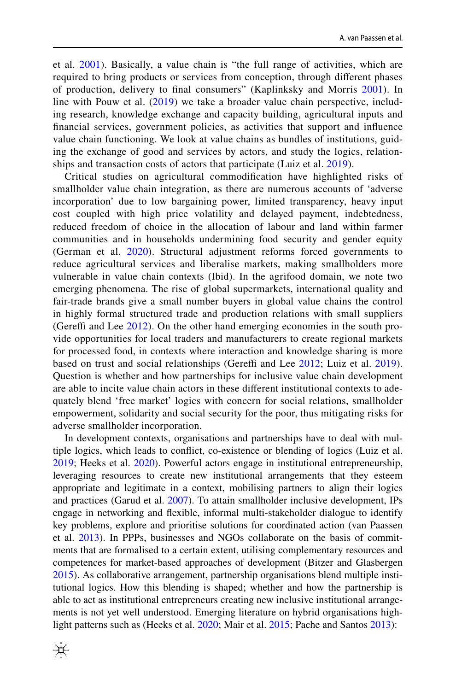et al. [2001](#page-21-9)). Basically, a value chain is "the full range of activities, which are required to bring products or services from conception, through diferent phases of production, delivery to fnal consumers" (Kaplinksky and Morris [2001](#page-21-10)). In line with Pouw et al. [\(2019\)](#page-22-4) we take a broader value chain perspective, including research, knowledge exchange and capacity building, agricultural inputs and fnancial services, government policies, as activities that support and infuence value chain functioning. We look at value chains as bundles of institutions, guiding the exchange of good and services by actors, and study the logics, relationships and transaction costs of actors that participate (Luiz et al. [2019\)](#page-22-5).

Critical studies on agricultural commodifcation have highlighted risks of smallholder value chain integration, as there are numerous accounts of 'adverse incorporation' due to low bargaining power, limited transparency, heavy input cost coupled with high price volatility and delayed payment, indebtedness, reduced freedom of choice in the allocation of labour and land within farmer communities and in households undermining food security and gender equity (German et al. [2020\)](#page-21-11). Structural adjustment reforms forced governments to reduce agricultural services and liberalise markets, making smallholders more vulnerable in value chain contexts (Ibid). In the agrifood domain, we note two emerging phenomena. The rise of global supermarkets, international quality and fair-trade brands give a small number buyers in global value chains the control in highly formal structured trade and production relations with small suppliers (Gereffi and Lee  $2012$ ). On the other hand emerging economies in the south provide opportunities for local traders and manufacturers to create regional markets for processed food, in contexts where interaction and knowledge sharing is more based on trust and social relationships (Gereffi and Lee [2012;](#page-21-1) Luiz et al. [2019](#page-22-5)). Question is whether and how partnerships for inclusive value chain development are able to incite value chain actors in these diferent institutional contexts to adequately blend 'free market' logics with concern for social relations, smallholder empowerment, solidarity and social security for the poor, thus mitigating risks for adverse smallholder incorporation.

In development contexts, organisations and partnerships have to deal with multiple logics, which leads to confict, co-existence or blending of logics (Luiz et al. [2019](#page-22-5); Heeks et al. [2020](#page-21-0)). Powerful actors engage in institutional entrepreneurship, leveraging resources to create new institutional arrangements that they esteem appropriate and legitimate in a context, mobilising partners to align their logics and practices (Garud et al. [2007\)](#page-21-12). To attain smallholder inclusive development, IPs engage in networking and fexible, informal multi-stakeholder dialogue to identify key problems, explore and prioritise solutions for coordinated action (van Paassen et al. [2013\)](#page-23-5). In PPPs, businesses and NGOs collaborate on the basis of commitments that are formalised to a certain extent, utilising complementary resources and competences for market-based approaches of development (Bitzer and Glasbergen [2015](#page-21-13)). As collaborative arrangement, partnership organisations blend multiple institutional logics. How this blending is shaped; whether and how the partnership is able to act as institutional entrepreneurs creating new inclusive institutional arrangements is not yet well understood. Emerging literature on hybrid organisations high-light patterns such as (Heeks et al. [2020](#page-21-0); Mair et al. [2015;](#page-22-6) Pache and Santos [2013](#page-22-7)):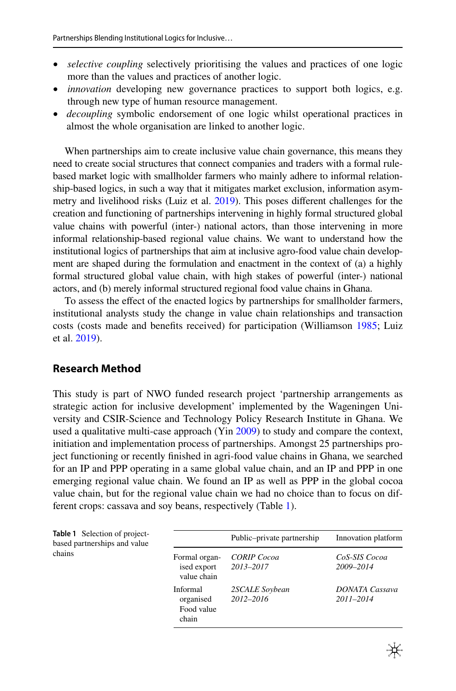- *selective coupling* selectively prioritising the values and practices of one logic more than the values and practices of another logic.
- *innovation* developing new governance practices to support both logics, e.g. through new type of human resource management.
- *decoupling* symbolic endorsement of one logic whilst operational practices in almost the whole organisation are linked to another logic.

When partnerships aim to create inclusive value chain governance, this means they need to create social structures that connect companies and traders with a formal rulebased market logic with smallholder farmers who mainly adhere to informal relationship-based logics, in such a way that it mitigates market exclusion, information asymmetry and livelihood risks (Luiz et al. [2019\)](#page-22-5). This poses diferent challenges for the creation and functioning of partnerships intervening in highly formal structured global value chains with powerful (inter-) national actors, than those intervening in more informal relationship-based regional value chains. We want to understand how the institutional logics of partnerships that aim at inclusive agro-food value chain development are shaped during the formulation and enactment in the context of (a) a highly formal structured global value chain, with high stakes of powerful (inter-) national actors, and (b) merely informal structured regional food value chains in Ghana.

To assess the efect of the enacted logics by partnerships for smallholder farmers, institutional analysts study the change in value chain relationships and transaction costs (costs made and benefts received) for participation (Williamson [1985;](#page-23-6) Luiz et al. [2019\)](#page-22-5).

### **Research Method**

This study is part of NWO funded research project 'partnership arrangements as strategic action for inclusive development' implemented by the Wageningen University and CSIR-Science and Technology Policy Research Institute in Ghana. We used a qualitative multi-case approach (Yin [2009](#page-23-7)) to study and compare the context, initiation and implementation process of partnerships. Amongst 25 partnerships project functioning or recently fnished in agri-food value chains in Ghana, we searched for an IP and PPP operating in a same global value chain, and an IP and PPP in one emerging regional value chain. We found an IP as well as PPP in the global cocoa value chain, but for the regional value chain we had no choice than to focus on different crops: cassava and soy beans, respectively (Table [1](#page-4-0)).

<span id="page-4-0"></span>

| <b>Table 1</b> Selection of project-<br>based partnerships and value |                                              | Public-private partnership      | Innovation platform                    |
|----------------------------------------------------------------------|----------------------------------------------|---------------------------------|----------------------------------------|
| chains                                                               | Formal organ-<br>ised export<br>value chain  | <b>CORIP</b> Cocoa<br>2013-2017 | CoS-SIS Cocoa<br>2009-2014             |
|                                                                      | Informal<br>organised<br>Food value<br>chain | 2SCALE Soybean<br>2012-2016     | <b>DONATA</b> Cassava<br>$2011 - 2014$ |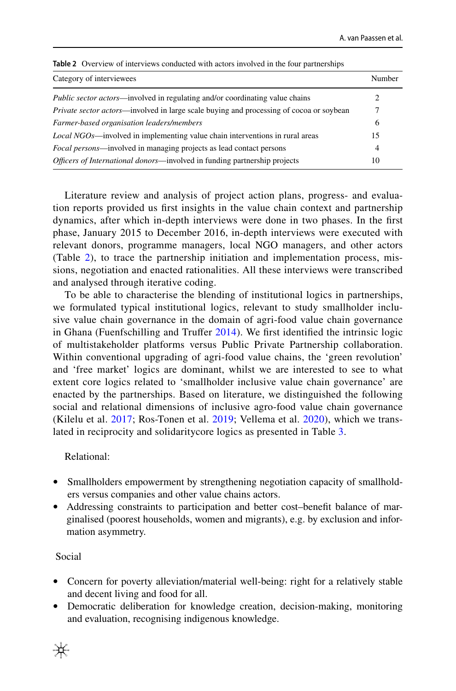| Category of interviewees                                                                        | Number |
|-------------------------------------------------------------------------------------------------|--------|
| <i>Public sector actors</i> —involved in regulating and/or coordinating value chains            |        |
| <i>Private sector actors</i> —involved in large scale buying and processing of cocoa or soybean |        |
| Farmer-based organisation leaders/members                                                       |        |
| <i>Local NGOs</i> —involved in implementing value chain interventions in rural areas            |        |
| <i>Focal persons</i> —involved in managing projects as lead contact persons                     | 4      |
| <i>Officers of International donors</i> —involved in funding partnership projects               |        |

<span id="page-5-0"></span>**Table 2** Overview of interviews conducted with actors involved in the four partnerships

Literature review and analysis of project action plans, progress- and evaluation reports provided us frst insights in the value chain context and partnership dynamics, after which in-depth interviews were done in two phases. In the frst phase, January 2015 to December 2016, in-depth interviews were executed with relevant donors, programme managers, local NGO managers, and other actors (Table [2](#page-5-0)), to trace the partnership initiation and implementation process, missions, negotiation and enacted rationalities. All these interviews were transcribed and analysed through iterative coding.

To be able to characterise the blending of institutional logics in partnerships, we formulated typical institutional logics, relevant to study smallholder inclusive value chain governance in the domain of agri-food value chain governance in Ghana (Fuenfschilling and Truffer [2014](#page-21-8)). We first identified the intrinsic logic of multistakeholder platforms versus Public Private Partnership collaboration. Within conventional upgrading of agri-food value chains, the 'green revolution' and 'free market' logics are dominant, whilst we are interested to see to what extent core logics related to 'smallholder inclusive value chain governance' are enacted by the partnerships. Based on literature, we distinguished the following social and relational dimensions of inclusive agro-food value chain governance (Kilelu et al. [2017;](#page-22-8) Ros-Tonen et al. [2019](#page-22-2); Vellema et al. [2020\)](#page-23-8), which we translated in reciprocity and solidaritycore logics as presented in Table [3](#page-6-0).

### Relational:

- Smallholders empowerment by strengthening negotiation capacity of smallholders versus companies and other value chains actors.
- Addressing constraints to participation and better cost-benefit balance of marginalised (poorest households, women and migrants), e.g. by exclusion and information asymmetry.

### Social

- Concern for poverty alleviation/material well-being: right for a relatively stable and decent living and food for all.
- Democratic deliberation for knowledge creation, decision-making, monitoring and evaluation, recognising indigenous knowledge.

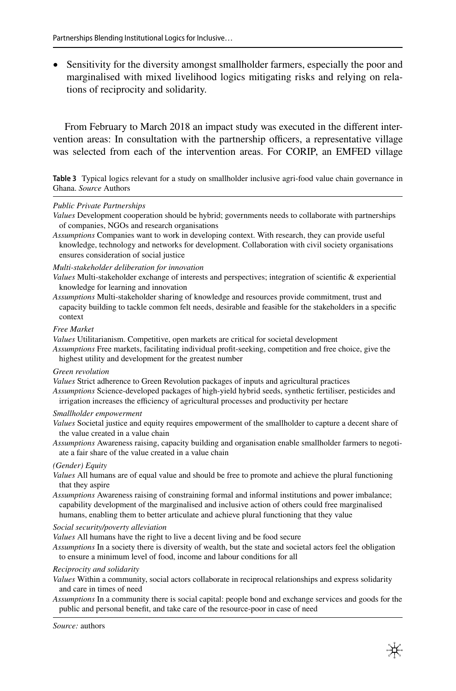• Sensitivity for the diversity amongst smallholder farmers, especially the poor and marginalised with mixed livelihood logics mitigating risks and relying on relations of reciprocity and solidarity.

From February to March 2018 an impact study was executed in the diferent intervention areas: In consultation with the partnership officers, a representative village was selected from each of the intervention areas. For CORIP, an EMFED village

<span id="page-6-0"></span>**Table 3** Typical logics relevant for a study on smallholder inclusive agri-food value chain governance in Ghana. *Source* Authors

#### *Public Private Partnerships*

*Assumptions* Companies want to work in developing context. With research, they can provide useful knowledge, technology and networks for development. Collaboration with civil society organisations ensures consideration of social justice

#### *Multi-stakeholder deliberation for innovation*

*Values* Multi-stakeholder exchange of interests and perspectives; integration of scientifc & experiential knowledge for learning and innovation

*Assumptions* Multi-stakeholder sharing of knowledge and resources provide commitment, trust and capacity building to tackle common felt needs, desirable and feasible for the stakeholders in a specifc context

#### *Free Market*

*Values* Utilitarianism. Competitive, open markets are critical for societal development

*Assumptions* Free markets, facilitating individual proft-seeking, competition and free choice, give the highest utility and development for the greatest number

#### *Green revolution*

*Values* Strict adherence to Green Revolution packages of inputs and agricultural practices

*Assumptions* Science-developed packages of high-yield hybrid seeds, synthetic fertiliser, pesticides and irrigation increases the efficiency of agricultural processes and productivity per hectare

#### *Smallholder empowerment*

- *Values* Societal justice and equity requires empowerment of the smallholder to capture a decent share of the value created in a value chain
- *Assumptions* Awareness raising, capacity building and organisation enable smallholder farmers to negotiate a fair share of the value created in a value chain

#### *(Gender) Equity*

- *Values* All humans are of equal value and should be free to promote and achieve the plural functioning that they aspire
- *Assumptions* Awareness raising of constraining formal and informal institutions and power imbalance; capability development of the marginalised and inclusive action of others could free marginalised humans, enabling them to better articulate and achieve plural functioning that they value

#### *Social security/poverty alleviation*

*Values* All humans have the right to live a decent living and be food secure

*Assumptions* In a society there is diversity of wealth, but the state and societal actors feel the obligation to ensure a minimum level of food, income and labour conditions for all

#### *Reciprocity and solidarity*

- *Values* Within a community, social actors collaborate in reciprocal relationships and express solidarity and care in times of need
- *Assumptions* In a community there is social capital: people bond and exchange services and goods for the public and personal beneft, and take care of the resource-poor in case of need

*Values* Development cooperation should be hybrid; governments needs to collaborate with partnerships of companies, NGOs and research organisations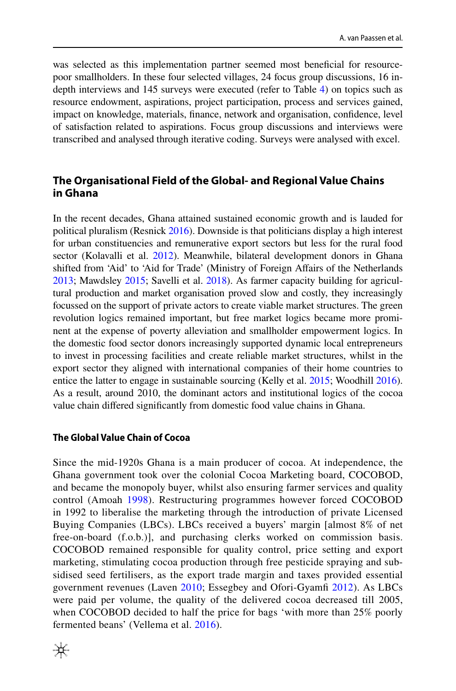was selected as this implementation partner seemed most benefcial for resourcepoor smallholders. In these four selected villages, 24 focus group discussions, 16 indepth interviews and 145 surveys were executed (refer to Table [4](#page-8-0)) on topics such as resource endowment, aspirations, project participation, process and services gained, impact on knowledge, materials, fnance, network and organisation, confdence, level of satisfaction related to aspirations. Focus group discussions and interviews were transcribed and analysed through iterative coding. Surveys were analysed with excel.

## **The Organisational Field of the Global‑ and Regional Value Chains in Ghana**

In the recent decades, Ghana attained sustained economic growth and is lauded for political pluralism (Resnick [2016](#page-22-9)). Downside is that politicians display a high interest for urban constituencies and remunerative export sectors but less for the rural food sector (Kolavalli et al. [2012](#page-22-10)). Meanwhile, bilateral development donors in Ghana shifted from 'Aid' to 'Aid for Trade' (Ministry of Foreign Afairs of the Netherlands [2013;](#page-22-11) Mawdsley [2015](#page-22-12); Savelli et al. [2018\)](#page-22-13). As farmer capacity building for agricultural production and market organisation proved slow and costly, they increasingly focussed on the support of private actors to create viable market structures. The green revolution logics remained important, but free market logics became more prominent at the expense of poverty alleviation and smallholder empowerment logics. In the domestic food sector donors increasingly supported dynamic local entrepreneurs to invest in processing facilities and create reliable market structures, whilst in the export sector they aligned with international companies of their home countries to entice the latter to engage in sustainable sourcing (Kelly et al. [2015](#page-21-14); Woodhill [2016\)](#page-23-9). As a result, around 2010, the dominant actors and institutional logics of the cocoa value chain difered signifcantly from domestic food value chains in Ghana.

### **The Global Value Chain of Cocoa**

Since the mid-1920s Ghana is a main producer of cocoa. At independence, the Ghana government took over the colonial Cocoa Marketing board, COCOBOD, and became the monopoly buyer, whilst also ensuring farmer services and quality control (Amoah [1998\)](#page-20-1). Restructuring programmes however forced COCOBOD in 1992 to liberalise the marketing through the introduction of private Licensed Buying Companies (LBCs). LBCs received a buyers' margin [almost 8% of net free-on-board (f.o.b.)], and purchasing clerks worked on commission basis. COCOBOD remained responsible for quality control, price setting and export marketing, stimulating cocoa production through free pesticide spraying and subsidised seed fertilisers, as the export trade margin and taxes provided essential government revenues (Laven [2010;](#page-22-14) Essegbey and Ofori-Gyamf [2012\)](#page-21-15). As LBCs were paid per volume, the quality of the delivered cocoa decreased till 2005, when COCOBOD decided to half the price for bags 'with more than 25% poorly fermented beans' (Vellema et al. [2016](#page-23-10)).

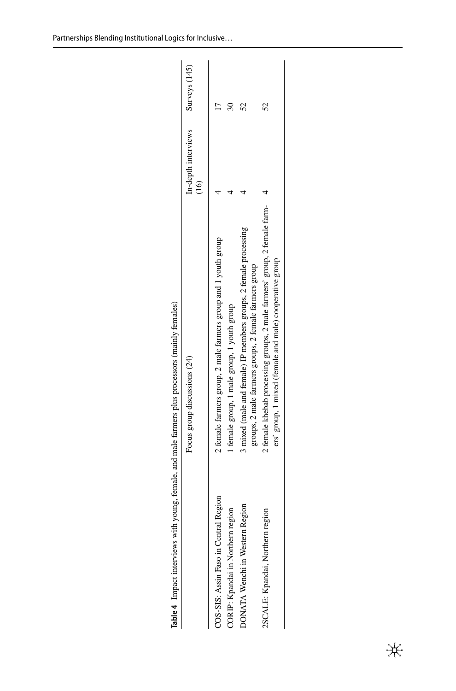<span id="page-8-0"></span>

|                                       | Table 4 Impact interviews with young, female, and male farmers plus processors (mainly females)                                     |                             |               |
|---------------------------------------|-------------------------------------------------------------------------------------------------------------------------------------|-----------------------------|---------------|
|                                       | Focus group discussions (24)                                                                                                        | In-depth interviews<br>(16) | Surveys (145) |
| COS-SIS: Assin Faso in Central Region | 2 female farmers group, 2 male farmers group and 1 youth group                                                                      |                             |               |
| CORIP: Kpandai in Northern region     | female group, 1 male group, 1 youth group                                                                                           |                             |               |
| Region<br>DONATA Wenchi in Western I  | 3 mixed (male and female) IP members groups, 2 female processing<br>groups, 2 male farmers groups, 2 female farmers group           |                             |               |
| 2SCALE: Kpandai, Northern region      | 2 female khebab processing groups, 2 male farmers' group, 2 female farm-<br>ers' group, 1 mixed (female and male) cooperative group |                             |               |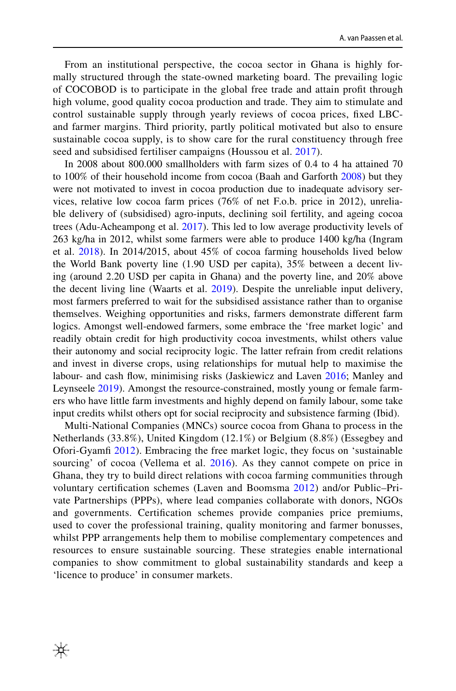From an institutional perspective, the cocoa sector in Ghana is highly formally structured through the state-owned marketing board. The prevailing logic of COCOBOD is to participate in the global free trade and attain proft through high volume, good quality cocoa production and trade. They aim to stimulate and control sustainable supply through yearly reviews of cocoa prices, fxed LBCand farmer margins. Third priority, partly political motivated but also to ensure sustainable cocoa supply, is to show care for the rural constituency through free seed and subsidised fertiliser campaigns (Houssou et al. [2017](#page-21-16)).

In 2008 about 800.000 smallholders with farm sizes of 0.4 to 4 ha attained 70 to 100% of their household income from cocoa (Baah and Garforth [2008\)](#page-20-2) but they were not motivated to invest in cocoa production due to inadequate advisory services, relative low cocoa farm prices (76% of net F.o.b. price in 2012), unreliable delivery of (subsidised) agro-inputs, declining soil fertility, and ageing cocoa trees (Adu-Acheampong et al. [2017\)](#page-20-3). This led to low average productivity levels of 263 kg/ha in 2012, whilst some farmers were able to produce 1400 kg/ha (Ingram et al. [2018\)](#page-21-17). In 2014/2015, about 45% of cocoa farming households lived below the World Bank poverty line (1.90 USD per capita), 35% between a decent living (around 2.20 USD per capita in Ghana) and the poverty line, and 20% above the decent living line (Waarts et al. [2019\)](#page-23-11). Despite the unreliable input delivery, most farmers preferred to wait for the subsidised assistance rather than to organise themselves. Weighing opportunities and risks, farmers demonstrate diferent farm logics. Amongst well-endowed farmers, some embrace the 'free market logic' and readily obtain credit for high productivity cocoa investments, whilst others value their autonomy and social reciprocity logic. The latter refrain from credit relations and invest in diverse crops, using relationships for mutual help to maximise the labour- and cash fow, minimising risks (Jaskiewicz and Laven [2016;](#page-21-18) Manley and Leynseele [2019\)](#page-22-15). Amongst the resource-constrained, mostly young or female farmers who have little farm investments and highly depend on family labour, some take input credits whilst others opt for social reciprocity and subsistence farming (Ibid).

Multi-National Companies (MNCs) source cocoa from Ghana to process in the Netherlands (33.8%), United Kingdom (12.1%) or Belgium (8.8%) (Essegbey and Ofori-Gyamf [2012\)](#page-21-15). Embracing the free market logic, they focus on 'sustainable sourcing' of cocoa (Vellema et al. [2016](#page-23-10)). As they cannot compete on price in Ghana, they try to build direct relations with cocoa farming communities through voluntary certifcation schemes (Laven and Boomsma [2012\)](#page-22-16) and/or Public–Private Partnerships (PPPs), where lead companies collaborate with donors, NGOs and governments. Certifcation schemes provide companies price premiums, used to cover the professional training, quality monitoring and farmer bonusses, whilst PPP arrangements help them to mobilise complementary competences and resources to ensure sustainable sourcing. These strategies enable international companies to show commitment to global sustainability standards and keep a 'licence to produce' in consumer markets.

米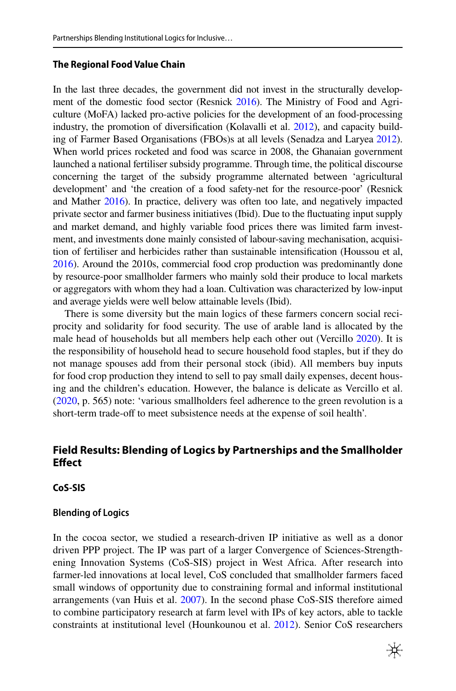### **The Regional Food Value Chain**

In the last three decades, the government did not invest in the structurally development of the domestic food sector (Resnick [2016](#page-22-9)). The Ministry of Food and Agriculture (MoFA) lacked pro-active policies for the development of an food-processing industry, the promotion of diversifcation (Kolavalli et al. [2012\)](#page-22-10), and capacity building of Farmer Based Organisations (FBOs)s at all levels (Senadza and Laryea [2012\)](#page-23-12). When world prices rocketed and food was scarce in 2008, the Ghanaian government launched a national fertiliser subsidy programme. Through time, the political discourse concerning the target of the subsidy programme alternated between 'agricultural development' and 'the creation of a food safety-net for the resource-poor' (Resnick and Mather [2016](#page-22-17)). In practice, delivery was often too late, and negatively impacted private sector and farmer business initiatives (Ibid). Due to the fuctuating input supply and market demand, and highly variable food prices there was limited farm investment, and investments done mainly consisted of labour-saving mechanisation, acquisition of fertiliser and herbicides rather than sustainable intensifcation (Houssou et al, [2016\)](#page-21-19). Around the 2010s, commercial food crop production was predominantly done by resource-poor smallholder farmers who mainly sold their produce to local markets or aggregators with whom they had a loan. Cultivation was characterized by low-input and average yields were well below attainable levels (Ibid).

There is some diversity but the main logics of these farmers concern social reciprocity and solidarity for food security. The use of arable land is allocated by the male head of households but all members help each other out (Vercillo [2020\)](#page-23-13). It is the responsibility of household head to secure household food staples, but if they do not manage spouses add from their personal stock (ibid). All members buy inputs for food crop production they intend to sell to pay small daily expenses, decent housing and the children's education. However, the balance is delicate as Vercillo et al. [\(2020](#page-23-14), p. 565) note: 'various smallholders feel adherence to the green revolution is a short-term trade-off to meet subsistence needs at the expense of soil health'.

## **Field Results: Blending of Logics by Partnerships and the Smallholder Efect**

### **CoS‑SIS**

### **Blending of Logics**

In the cocoa sector, we studied a research-driven IP initiative as well as a donor driven PPP project. The IP was part of a larger Convergence of Sciences-Strengthening Innovation Systems (CoS-SIS) project in West Africa. After research into farmer-led innovations at local level, CoS concluded that smallholder farmers faced small windows of opportunity due to constraining formal and informal institutional arrangements (van Huis et al. [2007](#page-23-15)). In the second phase CoS-SIS therefore aimed to combine participatory research at farm level with IPs of key actors, able to tackle constraints at institutional level (Hounkounou et al. [2012](#page-21-20)). Senior CoS researchers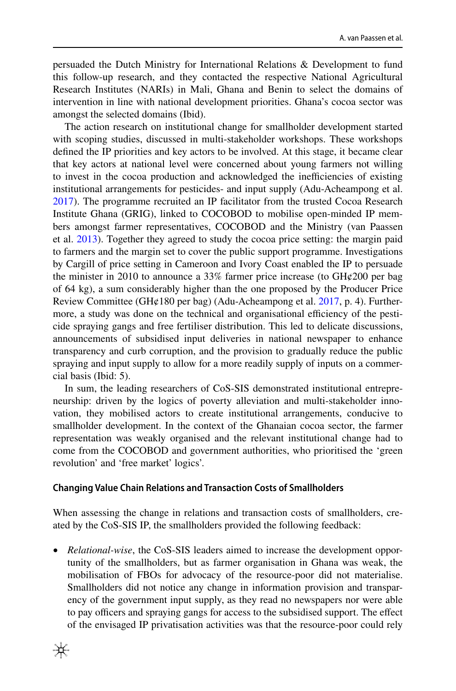persuaded the Dutch Ministry for International Relations & Development to fund this follow-up research, and they contacted the respective National Agricultural Research Institutes (NARIs) in Mali, Ghana and Benin to select the domains of intervention in line with national development priorities. Ghana's cocoa sector was amongst the selected domains (Ibid).

The action research on institutional change for smallholder development started with scoping studies, discussed in multi-stakeholder workshops. These workshops defned the IP priorities and key actors to be involved. At this stage, it became clear that key actors at national level were concerned about young farmers not willing to invest in the cocoa production and acknowledged the inefficiencies of existing institutional arrangements for pesticides- and input supply (Adu-Acheampong et al. [2017](#page-20-3)). The programme recruited an IP facilitator from the trusted Cocoa Research Institute Ghana (GRIG), linked to COCOBOD to mobilise open-minded IP members amongst farmer representatives, COCOBOD and the Ministry (van Paassen et al. [2013](#page-23-5)). Together they agreed to study the cocoa price setting: the margin paid to farmers and the margin set to cover the public support programme. Investigations by Cargill of price setting in Cameroon and Ivory Coast enabled the IP to persuade the minister in 2010 to announce a 33% farmer price increase (to  $GH\varphi$ 200 per bag of 64 kg), a sum considerably higher than the one proposed by the Producer Price Review Committee (GH¢180 per bag) (Adu-Acheampong et al. [2017](#page-20-3), p. 4). Furthermore, a study was done on the technical and organisational efficiency of the pesticide spraying gangs and free fertiliser distribution. This led to delicate discussions, announcements of subsidised input deliveries in national newspaper to enhance transparency and curb corruption, and the provision to gradually reduce the public spraying and input supply to allow for a more readily supply of inputs on a commercial basis (Ibid: 5).

In sum, the leading researchers of CoS-SIS demonstrated institutional entrepreneurship: driven by the logics of poverty alleviation and multi-stakeholder innovation, they mobilised actors to create institutional arrangements, conducive to smallholder development. In the context of the Ghanaian cocoa sector, the farmer representation was weakly organised and the relevant institutional change had to come from the COCOBOD and government authorities, who prioritised the 'green revolution' and 'free market' logics'.

### **Changing Value Chain Relations and Transaction Costs of Smallholders**

When assessing the change in relations and transaction costs of smallholders, created by the CoS-SIS IP, the smallholders provided the following feedback:

• *Relational-wise*, the CoS-SIS leaders aimed to increase the development opportunity of the smallholders, but as farmer organisation in Ghana was weak, the mobilisation of FBOs for advocacy of the resource-poor did not materialise. Smallholders did not notice any change in information provision and transparency of the government input supply, as they read no newspapers nor were able to pay officers and spraying gangs for access to the subsidised support. The effect of the envisaged IP privatisation activities was that the resource-poor could rely

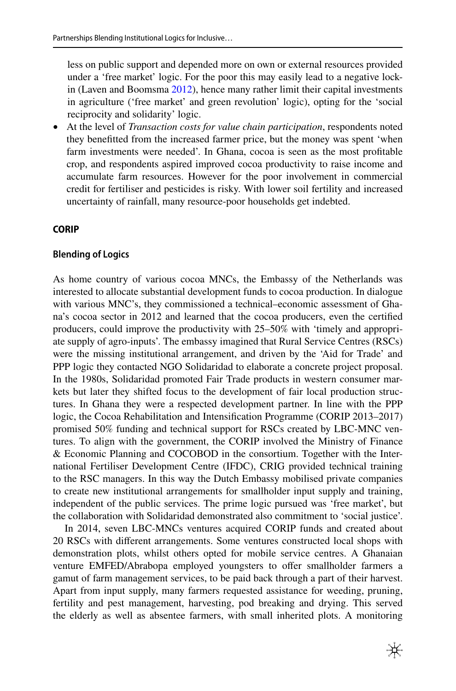less on public support and depended more on own or external resources provided under a 'free market' logic. For the poor this may easily lead to a negative lockin (Laven and Boomsma [2012](#page-22-16)), hence many rather limit their capital investments in agriculture ('free market' and green revolution' logic), opting for the 'social reciprocity and solidarity' logic.

• At the level of *Transaction costs for value chain participation*, respondents noted they beneftted from the increased farmer price, but the money was spent 'when farm investments were needed'. In Ghana, cocoa is seen as the most proftable crop, and respondents aspired improved cocoa productivity to raise income and accumulate farm resources. However for the poor involvement in commercial credit for fertiliser and pesticides is risky. With lower soil fertility and increased uncertainty of rainfall, many resource-poor households get indebted.

### **CORIP**

#### **Blending of Logics**

As home country of various cocoa MNCs, the Embassy of the Netherlands was interested to allocate substantial development funds to cocoa production. In dialogue with various MNC's, they commissioned a technical–economic assessment of Ghana's cocoa sector in 2012 and learned that the cocoa producers, even the certifed producers, could improve the productivity with 25–50% with 'timely and appropriate supply of agro-inputs'. The embassy imagined that Rural Service Centres (RSCs) were the missing institutional arrangement, and driven by the 'Aid for Trade' and PPP logic they contacted NGO Solidaridad to elaborate a concrete project proposal. In the 1980s, Solidaridad promoted Fair Trade products in western consumer markets but later they shifted focus to the development of fair local production structures. In Ghana they were a respected development partner. In line with the PPP logic, the Cocoa Rehabilitation and Intensifcation Programme (CORIP 2013–2017) promised 50% funding and technical support for RSCs created by LBC-MNC ventures. To align with the government, the CORIP involved the Ministry of Finance & Economic Planning and COCOBOD in the consortium. Together with the International Fertiliser Development Centre (IFDC), CRIG provided technical training to the RSC managers. In this way the Dutch Embassy mobilised private companies to create new institutional arrangements for smallholder input supply and training, independent of the public services. The prime logic pursued was 'free market', but the collaboration with Solidaridad demonstrated also commitment to 'social justice'.

In 2014, seven LBC-MNCs ventures acquired CORIP funds and created about 20 RSCs with diferent arrangements. Some ventures constructed local shops with demonstration plots, whilst others opted for mobile service centres. A Ghanaian venture EMFED/Abrabopa employed youngsters to offer smallholder farmers a gamut of farm management services, to be paid back through a part of their harvest. Apart from input supply, many farmers requested assistance for weeding, pruning, fertility and pest management, harvesting, pod breaking and drying. This served the elderly as well as absentee farmers, with small inherited plots. A monitoring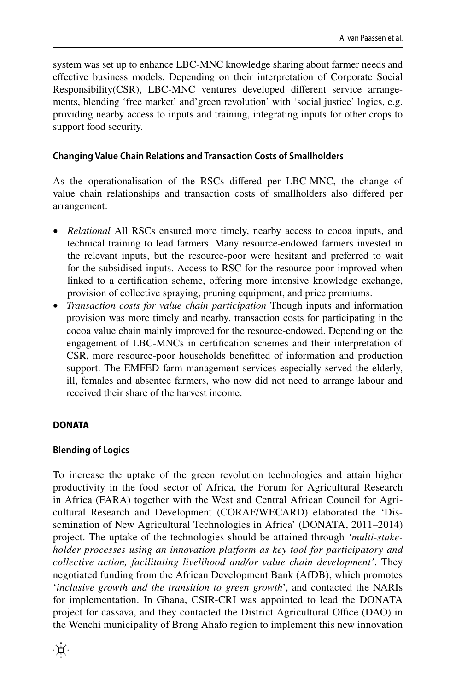system was set up to enhance LBC-MNC knowledge sharing about farmer needs and efective business models. Depending on their interpretation of Corporate Social Responsibility(CSR), LBC-MNC ventures developed diferent service arrangements, blending 'free market' and'green revolution' with 'social justice' logics, e.g. providing nearby access to inputs and training, integrating inputs for other crops to support food security.

### **Changing Value Chain Relations and Transaction Costs of Smallholders**

As the operationalisation of the RSCs difered per LBC-MNC, the change of value chain relationships and transaction costs of smallholders also difered per arrangement:

- *Relational* All RSCs ensured more timely, nearby access to cocoa inputs, and technical training to lead farmers. Many resource-endowed farmers invested in the relevant inputs, but the resource-poor were hesitant and preferred to wait for the subsidised inputs. Access to RSC for the resource-poor improved when linked to a certifcation scheme, ofering more intensive knowledge exchange, provision of collective spraying, pruning equipment, and price premiums.
- *Transaction costs for value chain participation* Though inputs and information provision was more timely and nearby, transaction costs for participating in the cocoa value chain mainly improved for the resource-endowed. Depending on the engagement of LBC-MNCs in certifcation schemes and their interpretation of CSR, more resource-poor households beneftted of information and production support. The EMFED farm management services especially served the elderly, ill, females and absentee farmers, who now did not need to arrange labour and received their share of the harvest income.

## **DONATA**

## **Blending of Logics**

To increase the uptake of the green revolution technologies and attain higher productivity in the food sector of Africa, the Forum for Agricultural Research in Africa (FARA) together with the West and Central African Council for Agricultural Research and Development (CORAF/WECARD) elaborated the 'Dissemination of New Agricultural Technologies in Africa' (DONATA, 2011–2014) project. The uptake of the technologies should be attained through *'multi-stakeholder processes using an innovation platform as key tool for participatory and collective action, facilitating livelihood and/or value chain development'*. They negotiated funding from the African Development Bank (AfDB), which promotes '*inclusive growth and the transition to green growth*', and contacted the NARIs for implementation. In Ghana, CSIR-CRI was appointed to lead the DONATA project for cassava, and they contacted the District Agricultural Office (DAO) in the Wenchi municipality of Brong Ahafo region to implement this new innovation

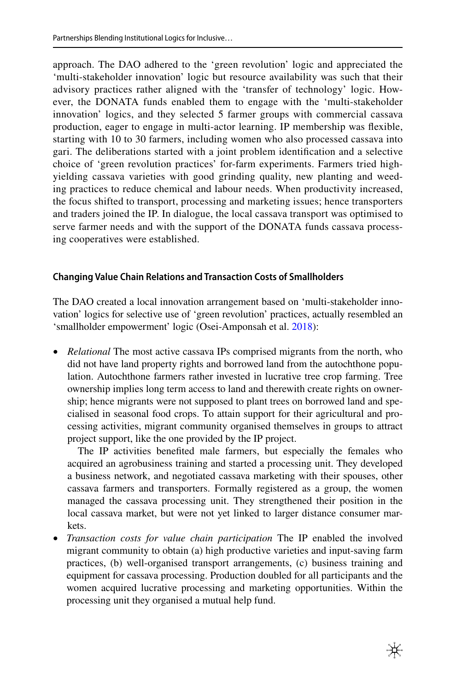approach. The DAO adhered to the 'green revolution' logic and appreciated the 'multi-stakeholder innovation' logic but resource availability was such that their advisory practices rather aligned with the 'transfer of technology' logic. However, the DONATA funds enabled them to engage with the 'multi-stakeholder innovation' logics, and they selected 5 farmer groups with commercial cassava production, eager to engage in multi-actor learning. IP membership was fexible, starting with 10 to 30 farmers, including women who also processed cassava into gari. The deliberations started with a joint problem identifcation and a selective choice of 'green revolution practices' for-farm experiments. Farmers tried highyielding cassava varieties with good grinding quality, new planting and weeding practices to reduce chemical and labour needs. When productivity increased, the focus shifted to transport, processing and marketing issues; hence transporters and traders joined the IP. In dialogue, the local cassava transport was optimised to serve farmer needs and with the support of the DONATA funds cassava processing cooperatives were established.

## **Changing Value Chain Relations and Transaction Costs of Smallholders**

The DAO created a local innovation arrangement based on 'multi-stakeholder innovation' logics for selective use of 'green revolution' practices, actually resembled an 'smallholder empowerment' logic (Osei-Amponsah et al. [2018](#page-22-18)):

• *Relational* The most active cassava IPs comprised migrants from the north, who did not have land property rights and borrowed land from the autochthone population. Autochthone farmers rather invested in lucrative tree crop farming. Tree ownership implies long term access to land and therewith create rights on ownership; hence migrants were not supposed to plant trees on borrowed land and specialised in seasonal food crops. To attain support for their agricultural and processing activities, migrant community organised themselves in groups to attract project support, like the one provided by the IP project.

 The IP activities benefted male farmers, but especially the females who acquired an agrobusiness training and started a processing unit. They developed a business network, and negotiated cassava marketing with their spouses, other cassava farmers and transporters. Formally registered as a group, the women managed the cassava processing unit. They strengthened their position in the local cassava market, but were not yet linked to larger distance consumer markets.

• *Transaction costs for value chain participation* The IP enabled the involved migrant community to obtain (a) high productive varieties and input-saving farm practices, (b) well-organised transport arrangements, (c) business training and equipment for cassava processing. Production doubled for all participants and the women acquired lucrative processing and marketing opportunities. Within the processing unit they organised a mutual help fund.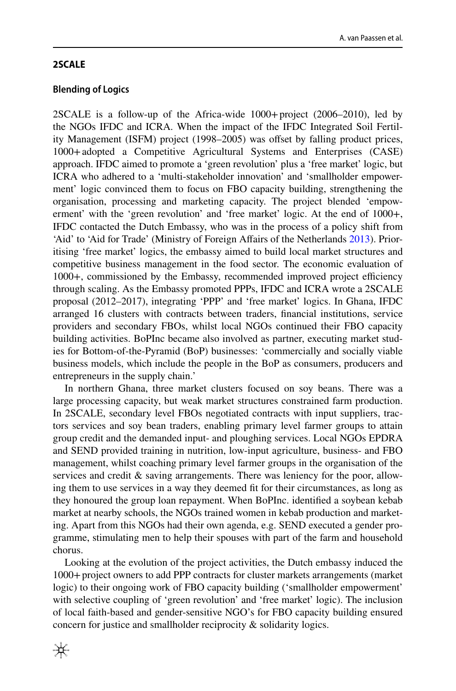### **2SCALE**

### **Blending of Logics**

2SCALE is a follow-up of the Africa-wide 1000+project (2006–2010), led by the NGOs IFDC and ICRA. When the impact of the IFDC Integrated Soil Fertility Management (ISFM) project (1998–2005) was ofset by falling product prices, 1000+adopted a Competitive Agricultural Systems and Enterprises (CASE) approach. IFDC aimed to promote a 'green revolution' plus a 'free market' logic, but ICRA who adhered to a 'multi-stakeholder innovation' and 'smallholder empowerment' logic convinced them to focus on FBO capacity building, strengthening the organisation, processing and marketing capacity. The project blended 'empowerment' with the 'green revolution' and 'free market' logic. At the end of 1000+, IFDC contacted the Dutch Embassy, who was in the process of a policy shift from 'Aid' to 'Aid for Trade' (Ministry of Foreign Afairs of the Netherlands [2013\)](#page-22-11). Prioritising 'free market' logics, the embassy aimed to build local market structures and competitive business management in the food sector. The economic evaluation of 1000+, commissioned by the Embassy, recommended improved project efficiency through scaling. As the Embassy promoted PPPs, IFDC and ICRA wrote a 2SCALE proposal (2012–2017), integrating 'PPP' and 'free market' logics. In Ghana, IFDC arranged 16 clusters with contracts between traders, fnancial institutions, service providers and secondary FBOs, whilst local NGOs continued their FBO capacity building activities. BoPInc became also involved as partner, executing market studies for Bottom-of-the-Pyramid (BoP) businesses: 'commercially and socially viable business models, which include the people in the BoP as consumers, producers and entrepreneurs in the supply chain.'

In northern Ghana, three market clusters focused on soy beans. There was a large processing capacity, but weak market structures constrained farm production. In 2SCALE, secondary level FBOs negotiated contracts with input suppliers, tractors services and soy bean traders, enabling primary level farmer groups to attain group credit and the demanded input- and ploughing services. Local NGOs EPDRA and SEND provided training in nutrition, low-input agriculture, business- and FBO management, whilst coaching primary level farmer groups in the organisation of the services and credit & saving arrangements. There was leniency for the poor, allowing them to use services in a way they deemed ft for their circumstances, as long as they honoured the group loan repayment. When BoPInc. identifed a soybean kebab market at nearby schools, the NGOs trained women in kebab production and marketing. Apart from this NGOs had their own agenda, e.g. SEND executed a gender programme, stimulating men to help their spouses with part of the farm and household chorus.

Looking at the evolution of the project activities, the Dutch embassy induced the 1000+project owners to add PPP contracts for cluster markets arrangements (market logic) to their ongoing work of FBO capacity building ('smallholder empowerment' with selective coupling of 'green revolution' and 'free market' logic). The inclusion of local faith-based and gender-sensitive NGO's for FBO capacity building ensured concern for justice and smallholder reciprocity & solidarity logics.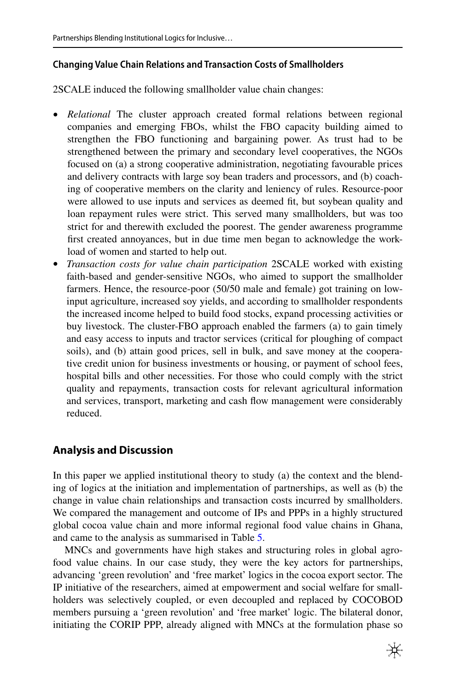### **Changing Value Chain Relations and Transaction Costs of Smallholders**

2SCALE induced the following smallholder value chain changes:

- *Relational* The cluster approach created formal relations between regional companies and emerging FBOs, whilst the FBO capacity building aimed to strengthen the FBO functioning and bargaining power. As trust had to be strengthened between the primary and secondary level cooperatives, the NGOs focused on (a) a strong cooperative administration, negotiating favourable prices and delivery contracts with large soy bean traders and processors, and (b) coaching of cooperative members on the clarity and leniency of rules. Resource-poor were allowed to use inputs and services as deemed ft, but soybean quality and loan repayment rules were strict. This served many smallholders, but was too strict for and therewith excluded the poorest. The gender awareness programme frst created annoyances, but in due time men began to acknowledge the workload of women and started to help out.
- *Transaction costs for value chain participation* 2SCALE worked with existing faith-based and gender-sensitive NGOs, who aimed to support the smallholder farmers. Hence, the resource-poor (50/50 male and female) got training on lowinput agriculture, increased soy yields, and according to smallholder respondents the increased income helped to build food stocks, expand processing activities or buy livestock. The cluster-FBO approach enabled the farmers (a) to gain timely and easy access to inputs and tractor services (critical for ploughing of compact soils), and (b) attain good prices, sell in bulk, and save money at the cooperative credit union for business investments or housing, or payment of school fees, hospital bills and other necessities. For those who could comply with the strict quality and repayments, transaction costs for relevant agricultural information and services, transport, marketing and cash fow management were considerably reduced.

## **Analysis and Discussion**

In this paper we applied institutional theory to study (a) the context and the blending of logics at the initiation and implementation of partnerships, as well as (b) the change in value chain relationships and transaction costs incurred by smallholders. We compared the management and outcome of IPs and PPPs in a highly structured global cocoa value chain and more informal regional food value chains in Ghana, and came to the analysis as summarised in Table [5](#page-17-0).

MNCs and governments have high stakes and structuring roles in global agrofood value chains. In our case study, they were the key actors for partnerships, advancing 'green revolution' and 'free market' logics in the cocoa export sector. The IP initiative of the researchers, aimed at empowerment and social welfare for smallholders was selectively coupled, or even decoupled and replaced by COCOBOD members pursuing a 'green revolution' and 'free market' logic. The bilateral donor, initiating the CORIP PPP, already aligned with MNCs at the formulation phase so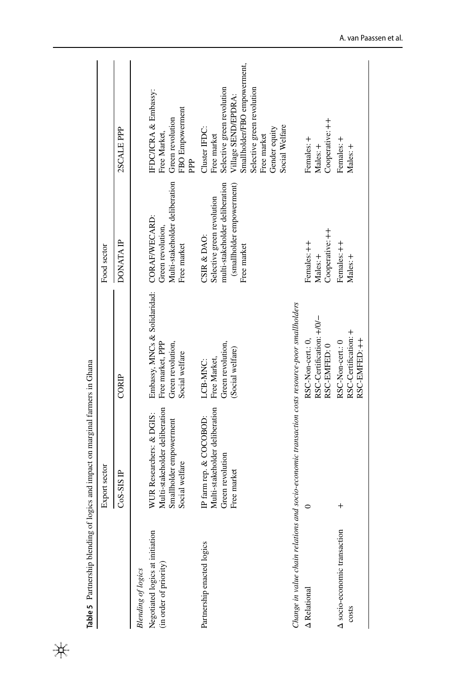|                                                                                        | Table 5 Partnership blending of logics and impact on marginal farmers in Ghana                          |                                                                                                       |                                                                                                                         |                                                                                                                                                                                                   |
|----------------------------------------------------------------------------------------|---------------------------------------------------------------------------------------------------------|-------------------------------------------------------------------------------------------------------|-------------------------------------------------------------------------------------------------------------------------|---------------------------------------------------------------------------------------------------------------------------------------------------------------------------------------------------|
|                                                                                        | Export sector                                                                                           |                                                                                                       | Food sector                                                                                                             |                                                                                                                                                                                                   |
|                                                                                        | $CS-SSE$                                                                                                | CORIP                                                                                                 | <b>DONATA IP</b>                                                                                                        | 2SCALE PPP                                                                                                                                                                                        |
| Negotiated logics at initiation<br>(in order of priority)<br><b>Blending</b> of logics | Multi-stakeholder deliberation<br>WUR Researchers: & DGIS:<br>Smallholder empowerment<br>Social welfare | Embassy, MNCs & Solidaridad: CORAF/WECARD:<br>Green revolution,<br>Free market, PPP<br>Social welfare | Multi-stakeholder deliberation<br>Green revolution,<br>Free market                                                      | IFDC/ICRA & Embassy:<br>FBO Empowerment<br>Green revolution<br>Free Market,                                                                                                                       |
|                                                                                        |                                                                                                         |                                                                                                       |                                                                                                                         | È                                                                                                                                                                                                 |
| Partnership enacted logics                                                             | Multi-stakeholder deliberation<br>IP farm rep. & COCOBOD:<br>Green revolution<br>Free market            | Green revolution,<br>(Social welfare)<br>Free Market,<br>LCB-MNC:                                     | (smallholder empowerment)<br>multi-stakeholder deliberation<br>Selective green revolution<br>CSIR & DAO:<br>Free market | Smallholder/FBO empowerment,<br>Selective green revolution<br>Selective green revolution<br>Village SEND/EPDRA:<br>Social Welfare<br>Cluster IFDC:<br>Gender equity<br>Free market<br>Free market |
| Change in value chain relations a                                                      | nd socio-economic transaction costs resource-poor smallholders                                          |                                                                                                       |                                                                                                                         |                                                                                                                                                                                                   |
| A Relational                                                                           | $\circ$                                                                                                 | RSC-Certification: +/0/-<br>RSC-Non-cert.: 0,<br>RSC-EMFED: 0                                         | Cooperative: ++<br>Females: ++<br>Males: +                                                                              | Cooperative: ++<br>Females: +<br>Males: +                                                                                                                                                         |
| A socio-economic transaction<br>costs                                                  | $\overline{+}$                                                                                          | RSC-Certification: +<br>RSC-EMFED: ++<br>RSC-Non-cert.: 0                                             | Females: ++<br>Males: +                                                                                                 | Females: +<br>Males: +                                                                                                                                                                            |

<span id="page-17-0"></span> $\frac{1}{2}$ 

A. van Paassen et al.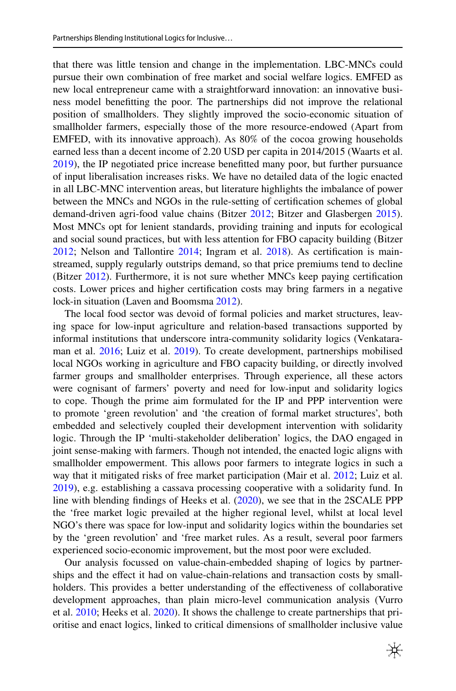that there was little tension and change in the implementation. LBC-MNCs could pursue their own combination of free market and social welfare logics. EMFED as new local entrepreneur came with a straightforward innovation: an innovative business model beneftting the poor. The partnerships did not improve the relational position of smallholders. They slightly improved the socio-economic situation of smallholder farmers, especially those of the more resource-endowed (Apart from EMFED, with its innovative approach). As 80% of the cocoa growing households earned less than a decent income of 2.20 USD per capita in 2014/2015 (Waarts et al. [2019](#page-23-11)), the IP negotiated price increase beneftted many poor, but further pursuance of input liberalisation increases risks. We have no detailed data of the logic enacted in all LBC-MNC intervention areas, but literature highlights the imbalance of power between the MNCs and NGOs in the rule-setting of certifcation schemes of global demand-driven agri-food value chains (Bitzer [2012](#page-21-21); Bitzer and Glasbergen [2015\)](#page-21-13). Most MNCs opt for lenient standards, providing training and inputs for ecological and social sound practices, but with less attention for FBO capacity building (Bitzer [2012](#page-21-21); Nelson and Tallontire [2014;](#page-22-19) Ingram et al. [2018\)](#page-21-17). As certifcation is mainstreamed, supply regularly outstrips demand, so that price premiums tend to decline (Bitzer [2012](#page-21-21)). Furthermore, it is not sure whether MNCs keep paying certification costs. Lower prices and higher certifcation costs may bring farmers in a negative lock-in situation (Laven and Boomsma [2012](#page-22-16)).

The local food sector was devoid of formal policies and market structures, leaving space for low-input agriculture and relation-based transactions supported by informal institutions that underscore intra-community solidarity logics (Venkataraman et al. [2016;](#page-23-16) Luiz et al. [2019\)](#page-22-5). To create development, partnerships mobilised local NGOs working in agriculture and FBO capacity building, or directly involved farmer groups and smallholder enterprises. Through experience, all these actors were cognisant of farmers' poverty and need for low-input and solidarity logics to cope. Though the prime aim formulated for the IP and PPP intervention were to promote 'green revolution' and 'the creation of formal market structures', both embedded and selectively coupled their development intervention with solidarity logic. Through the IP 'multi-stakeholder deliberation' logics, the DAO engaged in joint sense-making with farmers. Though not intended, the enacted logic aligns with smallholder empowerment. This allows poor farmers to integrate logics in such a way that it mitigated risks of free market participation (Mair et al. [2012;](#page-22-20) Luiz et al. [2019](#page-22-5)), e.g. establishing a cassava processing cooperative with a solidarity fund. In line with blending fndings of Heeks et al. ([2020\)](#page-21-0), we see that in the 2SCALE PPP the 'free market logic prevailed at the higher regional level, whilst at local level NGO's there was space for low-input and solidarity logics within the boundaries set by the 'green revolution' and 'free market rules. As a result, several poor farmers experienced socio-economic improvement, but the most poor were excluded.

Our analysis focussed on value-chain-embedded shaping of logics by partnerships and the efect it had on value-chain-relations and transaction costs by smallholders. This provides a better understanding of the efectiveness of collaborative development approaches, than plain micro-level communication analysis (Vurro et al. [2010](#page-23-1); Heeks et al. [2020\)](#page-21-0). It shows the challenge to create partnerships that prioritise and enact logics, linked to critical dimensions of smallholder inclusive value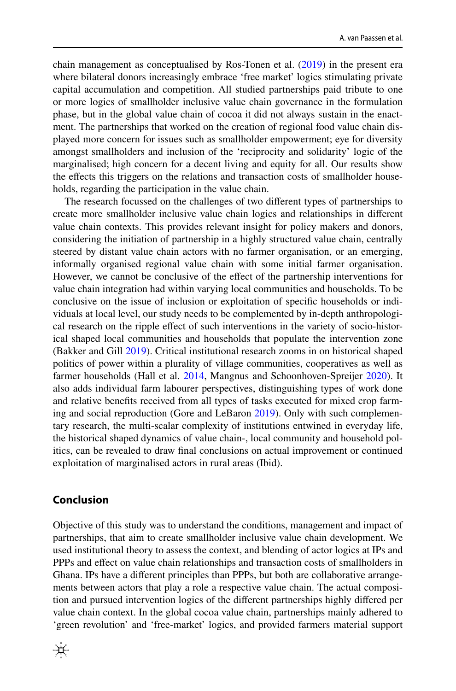chain management as conceptualised by Ros-Tonen et al. ([2019\)](#page-22-2) in the present era where bilateral donors increasingly embrace 'free market' logics stimulating private capital accumulation and competition. All studied partnerships paid tribute to one or more logics of smallholder inclusive value chain governance in the formulation phase, but in the global value chain of cocoa it did not always sustain in the enactment. The partnerships that worked on the creation of regional food value chain displayed more concern for issues such as smallholder empowerment; eye for diversity amongst smallholders and inclusion of the 'reciprocity and solidarity' logic of the marginalised; high concern for a decent living and equity for all. Our results show the effects this triggers on the relations and transaction costs of smallholder households, regarding the participation in the value chain.

The research focussed on the challenges of two diferent types of partnerships to create more smallholder inclusive value chain logics and relationships in diferent value chain contexts. This provides relevant insight for policy makers and donors, considering the initiation of partnership in a highly structured value chain, centrally steered by distant value chain actors with no farmer organisation, or an emerging, informally organised regional value chain with some initial farmer organisation. However, we cannot be conclusive of the efect of the partnership interventions for value chain integration had within varying local communities and households. To be conclusive on the issue of inclusion or exploitation of specifc households or individuals at local level, our study needs to be complemented by in-depth anthropological research on the ripple efect of such interventions in the variety of socio-historical shaped local communities and households that populate the intervention zone (Bakker and Gill [2019](#page-21-22)). Critical institutional research zooms in on historical shaped politics of power within a plurality of village communities, cooperatives as well as farmer households (Hall et al. [2014,](#page-21-23) Mangnus and Schoonhoven-Spreijer [2020](#page-22-21)). It also adds individual farm labourer perspectives, distinguishing types of work done and relative benefts received from all types of tasks executed for mixed crop farming and social reproduction (Gore and LeBaron [2019](#page-21-24)). Only with such complementary research, the multi-scalar complexity of institutions entwined in everyday life, the historical shaped dynamics of value chain-, local community and household politics, can be revealed to draw fnal conclusions on actual improvement or continued exploitation of marginalised actors in rural areas (Ibid).

### **Conclusion**

Objective of this study was to understand the conditions, management and impact of partnerships, that aim to create smallholder inclusive value chain development. We used institutional theory to assess the context, and blending of actor logics at IPs and PPPs and efect on value chain relationships and transaction costs of smallholders in Ghana. IPs have a diferent principles than PPPs, but both are collaborative arrangements between actors that play a role a respective value chain. The actual composition and pursued intervention logics of the diferent partnerships highly difered per value chain context. In the global cocoa value chain, partnerships mainly adhered to 'green revolution' and 'free-market' logics, and provided farmers material support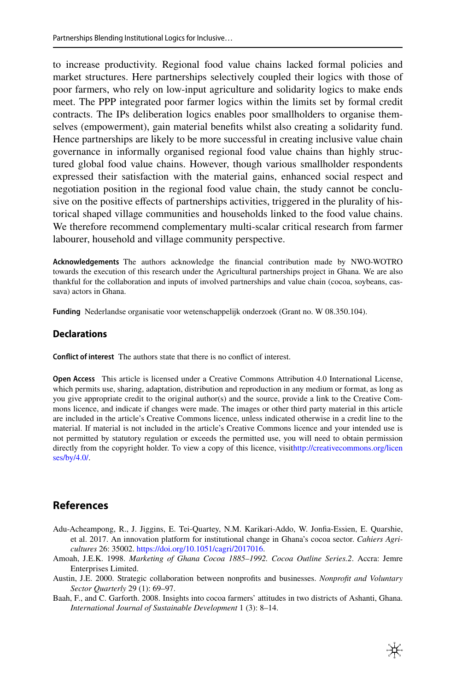to increase productivity. Regional food value chains lacked formal policies and market structures. Here partnerships selectively coupled their logics with those of poor farmers, who rely on low-input agriculture and solidarity logics to make ends meet. The PPP integrated poor farmer logics within the limits set by formal credit contracts. The IPs deliberation logics enables poor smallholders to organise themselves (empowerment), gain material benefts whilst also creating a solidarity fund. Hence partnerships are likely to be more successful in creating inclusive value chain governance in informally organised regional food value chains than highly structured global food value chains. However, though various smallholder respondents expressed their satisfaction with the material gains, enhanced social respect and negotiation position in the regional food value chain, the study cannot be conclusive on the positive efects of partnerships activities, triggered in the plurality of historical shaped village communities and households linked to the food value chains. We therefore recommend complementary multi-scalar critical research from farmer labourer, household and village community perspective.

**Acknowledgements** The authors acknowledge the fnancial contribution made by NWO-WOTRO towards the execution of this research under the Agricultural partnerships project in Ghana. We are also thankful for the collaboration and inputs of involved partnerships and value chain (cocoa, soybeans, cassava) actors in Ghana.

**Funding** Nederlandse organisatie voor wetenschappelijk onderzoek (Grant no. W 08.350.104).

### **Declarations**

**Confict of interest** The authors state that there is no confict of interest.

**Open Access** This article is licensed under a Creative Commons Attribution 4.0 International License, which permits use, sharing, adaptation, distribution and reproduction in any medium or format, as long as you give appropriate credit to the original author(s) and the source, provide a link to the Creative Commons licence, and indicate if changes were made. The images or other third party material in this article are included in the article's Creative Commons licence, unless indicated otherwise in a credit line to the material. If material is not included in the article's Creative Commons licence and your intended use is not permitted by statutory regulation or exceeds the permitted use, you will need to obtain permission directly from the copyright holder. To view a copy of this licence, visit[http://creativecommons.org/licen](http://creativecommons.org/licenses/by/4.0/) [ses/by/4.0/](http://creativecommons.org/licenses/by/4.0/).

## **References**

- <span id="page-20-3"></span>Adu-Acheampong, R., J. Jiggins, E. Tei-Quartey, N.M. Karikari-Addo, W. Jonfa-Essien, E. Quarshie, et al. 2017. An innovation platform for institutional change in Ghana's cocoa sector. *Cahiers Agricultures* 26: 35002. [https://doi.org/10.1051/cagri/2017016.](https://doi.org/10.1051/cagri/2017016)
- <span id="page-20-1"></span>Amoah, J.E.K. 1998. *Marketing of Ghana Cocoa 1885–1992. Cocoa Outline Series.2*. Accra: Jemre Enterprises Limited.
- <span id="page-20-0"></span>Austin, J.E. 2000. Strategic collaboration between nonprofts and businesses. *Nonproft and Voluntary Sector Quarterly* 29 (1): 69–97.
- <span id="page-20-2"></span>Baah, F., and C. Garforth. 2008. Insights into cocoa farmers' attitudes in two districts of Ashanti, Ghana. *International Journal of Sustainable Development* 1 (3): 8–14.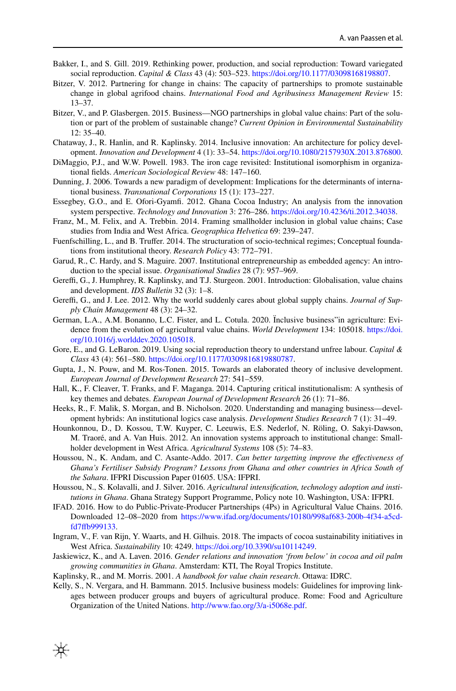- <span id="page-21-22"></span>Bakker, I., and S. Gill. 2019. Rethinking power, production, and social reproduction: Toward variegated social reproduction. *Capital & Class* 43 (4): 503–523. [https://doi.org/10.1177/03098168198807.](https://doi.org/10.1177/03098168198807)
- <span id="page-21-21"></span>Bitzer, V. 2012. Partnering for change in chains: The capacity of partnerships to promote sustainable change in global agrifood chains. *International Food and Agribusiness Management Review* 15: 13–37.
- <span id="page-21-13"></span>Bitzer, V., and P. Glasbergen. 2015. Business—NGO partnerships in global value chains: Part of the solution or part of the problem of sustainable change? *Current Opinion in Environmental Sustainability* 12: 35–40.
- <span id="page-21-4"></span>Chataway, J., R. Hanlin, and R. Kaplinsky. 2014. Inclusive innovation: An architecture for policy development. *Innovation and Development* 4 (1): 33–54.<https://doi.org/10.1080/2157930X.2013.876800>.
- <span id="page-21-7"></span>DiMaggio, P.J., and W.W. Powell. 1983. The iron cage revisited: Institutional isomorphism in organizational felds. *American Sociological Review* 48: 147–160.
- <span id="page-21-3"></span>Dunning, J. 2006. Towards a new paradigm of development: Implications for the determinants of international business. *Transnational Corporations* 15 (1): 173–227.
- <span id="page-21-15"></span>Essegbey, G.O., and E. Ofori-Gyamf. 2012. Ghana Cocoa Industry; An analysis from the innovation system perspective. *Technology and Innovation* 3: 276–286. <https://doi.org/10.4236/ti.2012.34038>.
- <span id="page-21-5"></span>Franz, M., M. Felix, and A. Trebbin. 2014. Framing smallholder inclusion in global value chains; Case studies from India and West Africa. *Geographica Helvetica* 69: 239–247.
- <span id="page-21-8"></span>Fuenfschilling, L., and B. Trufer. 2014. The structuration of socio-technical regimes; Conceptual foundations from institutional theory. *Research Policy* 43: 772–791.
- <span id="page-21-12"></span>Garud, R., C. Hardy, and S. Maguire. 2007. Institutional entrepreneurship as embedded agency: An introduction to the special issue. *Organisational Studies* 28 (7): 957–969.
- <span id="page-21-9"></span>Gereffi, G., J. Humphrey, R. Kaplinsky, and T.J. Sturgeon. 2001. Introduction: Globalisation, value chains and development. *IDS Bulletin* 32 (3): 1–8.
- <span id="page-21-1"></span>Gereffi, G., and J. Lee. 2012. Why the world suddenly cares about global supply chains. *Journal of Supply Chain Management* 48 (3): 24–32.
- <span id="page-21-11"></span>German, L.A., A.M. Bonanno, L.C. Fister, and L. Cotula. 2020. Ïnclusive business"in agriculture: Evidence from the evolution of agricultural value chains. *World Development* 134: 105018. [https://doi.](https://doi.org/10.1016/j.worlddev.2020.105018) [org/10.1016/j.worlddev.2020.105018](https://doi.org/10.1016/j.worlddev.2020.105018).
- <span id="page-21-24"></span>Gore, E., and G. LeBaron. 2019. Using social reproduction theory to understand unfree labour. *Capital & Class* 43 (4): 561–580. [https://doi.org/10.1177/0309816819880787.](https://doi.org/10.1177/0309816819880787)
- <span id="page-21-2"></span>Gupta, J., N. Pouw, and M. Ros-Tonen. 2015. Towards an elaborated theory of inclusive development. *European Journal of Development Research* 27: 541–559.
- <span id="page-21-23"></span>Hall, K., F. Cleaver, T. Franks, and F. Maganga. 2014. Capturing critical institutionalism: A synthesis of key themes and debates. *European Journal of Development Research* 26 (1): 71–86.
- <span id="page-21-0"></span>Heeks, R., F. Malik, S. Morgan, and B. Nicholson. 2020. Understanding and managing business—development hybrids: An institutional logics case analysis. *Development Studies Research* 7 (1): 31–49.
- <span id="page-21-20"></span>Hounkonnou, D., D. Kossou, T.W. Kuyper, C. Leeuwis, E.S. Nederlof, N. Röling, O. Sakyi-Dawson, M. Traoré, and A. Van Huis. 2012. An innovation systems approach to institutional change: Smallholder development in West Africa. *Agricultural Systems* 108 (5): 74–83.
- <span id="page-21-16"></span>Houssou, N., K. Andam, and C. Asante-Addo. 2017. *Can better targetting improve the efectiveness of Ghana's Fertiliser Subsidy Program? Lessons from Ghana and other countries in Africa South of the Sahara*. IFPRI Discussion Paper 01605. USA: IFPRI.
- <span id="page-21-19"></span>Houssou, N., S. Kolavalli, and J. Silver. 2016. *Agricultural intensifcation, technology adoption and institutions in Ghana*. Ghana Strategy Support Programme, Policy note 10. Washington, USA: IFPRI.
- <span id="page-21-6"></span>IFAD. 2016. How to do Public-Private-Producer Partnerships (4Ps) in Agricultural Value Chains. 2016. Downloaded 12–08–2020 from [https://www.ifad.org/documents/10180/998af683-200b-4f34-a5cd](https://www.ifad.org/documents/10180/998af683-200b-4f34-a5cd-fd7ffb999133)[fd7fb999133.](https://www.ifad.org/documents/10180/998af683-200b-4f34-a5cd-fd7ffb999133)
- <span id="page-21-17"></span>Ingram, V., F. van Rijn, Y. Waarts, and H. Gilhuis. 2018. The impacts of cocoa sustainability initiatives in West Africa. *Sustainability* 10: 4249. <https://doi.org/10.3390/su10114249>.
- <span id="page-21-18"></span>Jaskiewicz, K., and A. Laven. 2016. *Gender relations and innovation 'from below' in cocoa and oil palm growing communities in Ghana*. Amsterdam: KTI, The Royal Tropics Institute.
- <span id="page-21-10"></span>Kaplinsky, R., and M. Morris. 2001. *A handbook for value chain research*. Ottawa: IDRC.
- <span id="page-21-14"></span>Kelly, S., N. Vergara, and H. Bammann. 2015. Inclusive business models: Guidelines for improving linkages between producer groups and buyers of agricultural produce. Rome: Food and Agriculture Organization of the United Nations. [http://www.fao.org/3/a-i5068e.pdf.](http://www.fao.org/3/a-i5068e.pdf)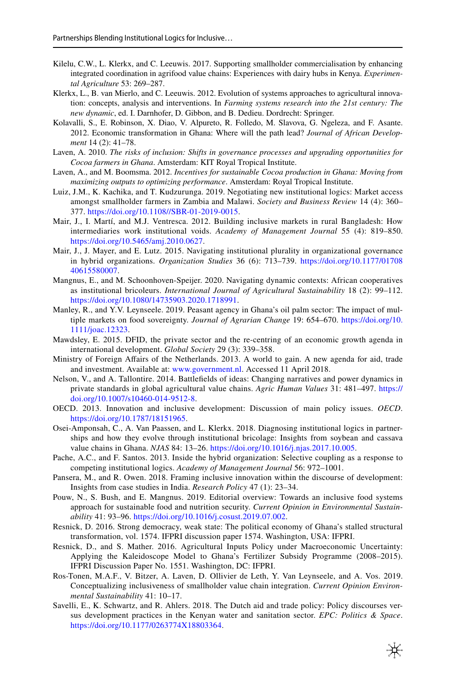- <span id="page-22-8"></span>Kilelu, C.W., L. Klerkx, and C. Leeuwis. 2017. Supporting smallholder commercialisation by enhancing integrated coordination in agrifood value chains: Experiences with dairy hubs in Kenya. *Experimental Agriculture* 53: 269–287.
- <span id="page-22-3"></span>Klerkx, L., B. van Mierlo, and C. Leeuwis. 2012. Evolution of systems approaches to agricultural innovation: concepts, analysis and interventions. In *Farming systems research into the 21st century: The new dynamic*, ed. I. Darnhofer, D. Gibbon, and B. Dedieu. Dordrecht: Springer.
- <span id="page-22-10"></span>Kolavalli, S., E. Robinson, X. Diao, V. Alpureto, R. Folledo, M. Slavova, G. Ngeleza, and F. Asante. 2012. Economic transformation in Ghana: Where will the path lead? *Journal of African Development* 14 (2): 41–78.
- <span id="page-22-14"></span>Laven, A. 2010. *The risks of inclusion: Shifts in governance processes and upgrading opportunities for Cocoa farmers in Ghana*. Amsterdam: KIT Royal Tropical Institute.
- <span id="page-22-16"></span>Laven, A., and M. Boomsma. 2012. *Incentives for sustainable Cocoa production in Ghana: Moving from maximizing outputs to optimizing performance*. Amsterdam: Royal Tropical Institute.
- <span id="page-22-5"></span>Luiz, J.M., K. Kachika, and T. Kudzurunga. 2019. Negotiating new institutional logics: Market access amongst smallholder farmers in Zambia and Malawi. *Society and Business Review* 14 (4): 360– 377. [https://doi.org/10.1108//SBR-01-2019-0015.](https://doi.org/10.1108//SBR-01-2019-0015)
- <span id="page-22-20"></span>Mair, J., I. Martí, and M.J. Ventresca. 2012. Building inclusive markets in rural Bangladesh: How intermediaries work institutional voids. *Academy of Management Journal* 55 (4): 819–850. [https://doi.org/10.5465/amj.2010.0627.](https://doi.org/10.5465/amj.2010.0627)
- <span id="page-22-6"></span>Mair, J., J. Mayer, and E. Lutz. 2015. Navigating institutional plurality in organizational governance in hybrid organizations. *Organization Studies* 36 (6): 713–739. [https://doi.org/10.1177/01708](https://doi.org/10.1177/0170840615580007) [40615580007](https://doi.org/10.1177/0170840615580007).
- <span id="page-22-21"></span>Mangnus, E., and M. Schoonhoven-Speijer. 2020. Navigating dynamic contexts: African cooperatives as institutional bricoleurs. *International Journal of Agricultural Sustainability* 18 (2): 99–112. [https://doi.org/10.1080/14735903.2020.1718991.](https://doi.org/10.1080/14735903.2020.1718991)
- <span id="page-22-15"></span>Manley, R., and Y.V. Leynseele. 2019. Peasant agency in Ghana's oil palm sector: The impact of multiple markets on food sovereignty. *Journal of Agrarian Change* 19: 654–670. [https://doi.org/10.](https://doi.org/10.1111/joac.12323) [1111/joac.12323](https://doi.org/10.1111/joac.12323).
- <span id="page-22-12"></span>Mawdsley, E. 2015. DFID, the private sector and the re-centring of an economic growth agenda in international development. *Global Society* 29 (3): 339–358.
- <span id="page-22-11"></span>Ministry of Foreign Afairs of the Netherlands. 2013. A world to gain. A new agenda for aid, trade and investment. Available at: [www.government.nl.](http://www.government.nl) Accessed 11 April 2018.
- <span id="page-22-19"></span>Nelson, V., and A. Tallontire. 2014. Battlefelds of ideas: Changing narratives and power dynamics in private standards in global agricultural value chains. *Agric Human Values* 31: 481–497. [https://](https://doi.org/10.1007/s10460-014-9512-8) [doi.org/10.1007/s10460-014-9512-8](https://doi.org/10.1007/s10460-014-9512-8).
- <span id="page-22-1"></span>OECD. 2013. Innovation and inclusive development: Discussion of main policy issues. *OECD*. <https://doi.org/10.1787/18151965>.
- <span id="page-22-18"></span>Osei-Amponsah, C., A. Van Paassen, and L. Klerkx. 2018. Diagnosing institutional logics in partnerships and how they evolve through institutional bricolage: Insights from soybean and cassava value chains in Ghana. *NJAS* 84: 13–26. <https://doi.org/10.1016/j.njas.2017.10.005>.
- <span id="page-22-7"></span>Pache, A.C., and F. Santos. 2013. Inside the hybrid organization: Selective coupling as a response to competing institutional logics. *Academy of Management Journal* 56: 972–1001.
- <span id="page-22-0"></span>Pansera, M., and R. Owen. 2018. Framing inclusive innovation within the discourse of development: Insights from case studies in India. *Research Policy* 47 (1): 23–34.
- <span id="page-22-4"></span>Pouw, N., S. Bush, and E. Mangnus. 2019. Editorial overview: Towards an inclusive food systems approach for sustainable food and nutrition security. *Current Opinion in Environmental Sustainability* 41: 93–96. <https://doi.org/10.1016/j.cosust.2019.07.002>.
- <span id="page-22-9"></span>Resnick, D. 2016. Strong democracy, weak state: The political economy of Ghana's stalled structural transformation, vol. 1574. IFPRI discussion paper 1574. Washington, USA: IFPRI.
- <span id="page-22-17"></span>Resnick, D., and S. Mather. 2016. Agricultural Inputs Policy under Macroeconomic Uncertainty: Applying the Kaleidoscope Model to Ghana's Fertilizer Subsidy Programme (2008–2015). IFPRI Discussion Paper No. 1551. Washington, DC: IFPRI.
- <span id="page-22-2"></span>Ros-Tonen, M.A.F., V. Bitzer, A. Laven, D. Ollivier de Leth, Y. Van Leynseele, and A. Vos. 2019. Conceptualizing inclusiveness of smallholder value chain integration. *Current Opinion Environmental Sustainability* 41: 10–17.
- <span id="page-22-13"></span>Savelli, E., K. Schwartz, and R. Ahlers. 2018. The Dutch aid and trade policy: Policy discourses versus development practices in the Kenyan water and sanitation sector. *EPC: Politics & Space*. [https://doi.org/10.1177/0263774X18803364.](https://doi.org/10.1177/0263774X18803364)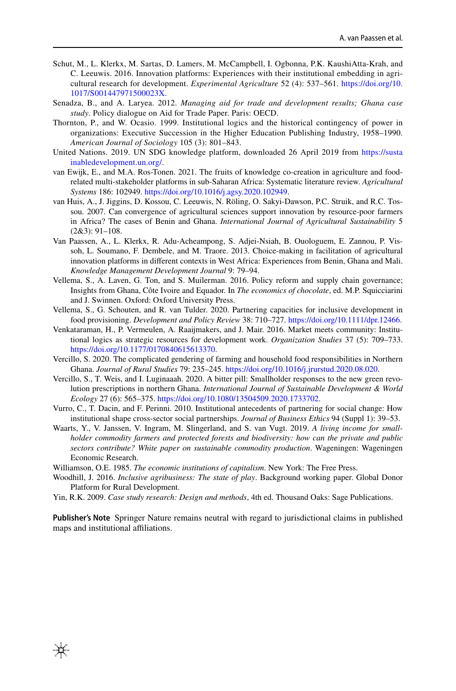- <span id="page-23-2"></span>Schut, M., L. Klerkx, M. Sartas, D. Lamers, M. McCampbell, I. Ogbonna, P.K. KaushiAtta-Krah, and C. Leeuwis. 2016. Innovation platforms: Experiences with their institutional embedding in agricultural research for development. *Experimental Agriculture* 52 (4): 537–561. [https://doi.org/10.](https://doi.org/10.1017/S001447971500023X) [1017/S001447971500023X.](https://doi.org/10.1017/S001447971500023X)
- <span id="page-23-12"></span>Senadza, B., and A. Laryea. 2012. *Managing aid for trade and development results; Ghana case study*. Policy dialogue on Aid for Trade Paper. Paris: OECD.
- <span id="page-23-4"></span>Thornton, P., and W. Ocasio. 1999. Institutional logics and the historical contingency of power in organizations: Executive Succession in the Higher Education Publishing Industry, 1958–1990. *American Journal of Sociology* 105 (3): 801–843.
- <span id="page-23-0"></span>United Nations. 2019. UN SDG knowledge platform, downloaded 26 April 2019 from [https://susta](https://sustainabledevelopment.un.org/) [inabledevelopment.un.org/](https://sustainabledevelopment.un.org/).
- <span id="page-23-3"></span>van Ewijk, E., and M.A. Ros-Tonen. 2021. The fruits of knowledge co-creation in agriculture and foodrelated multi-stakeholder platforms in sub-Saharan Africa: Systematic literature review. *Agricultural Systems* 186: 102949.<https://doi.org/10.1016/j.agsy.2020.102949>.
- <span id="page-23-15"></span>van Huis, A., J. Jiggins, D. Kossou, C. Leeuwis, N. Röling, O. Sakyi-Dawson, P.C. Struik, and R.C. Tossou. 2007. Can convergence of agricultural sciences support innovation by resource-poor farmers in Africa? The cases of Benin and Ghana. *International Journal of Agricultural Sustainability* 5 (2&3): 91–108.
- <span id="page-23-5"></span>Van Paassen, A., L. Klerkx, R. Adu-Acheampong, S. Adjei-Nsiah, B. Ouologuem, E. Zannou, P. Vissoh, L. Soumano, F. Dembele, and M. Traore. 2013. Choice-making in facilitation of agricultural innovation platforms in diferent contexts in West Africa: Experiences from Benin, Ghana and Mali. *Knowledge Management Development Journal* 9: 79–94.
- <span id="page-23-10"></span>Vellema, S., A. Laven, G. Ton, and S. Muilerman. 2016. Policy reform and supply chain governance; Insights from Ghana, Côte Ivoire and Equador. In *The economics of chocolate*, ed. M.P. Squicciarini and J. Swinnen. Oxford: Oxford University Press.
- <span id="page-23-8"></span>Vellema, S., G. Schouten, and R. van Tulder. 2020. Partnering capacities for inclusive development in food provisioning. *Development and Policy Review* 38: 710–727. [https://doi.org/10.1111/dpr.12466.](https://doi.org/10.1111/dpr.12466)
- <span id="page-23-16"></span>Venkataraman, H., P. Vermeulen, A. Raaijmakers, and J. Mair. 2016. Market meets community: Institutional logics as strategic resources for development work. *Organization Studies* 37 (5): 709–733. <https://doi.org/10.1177/0170840615613370>.
- <span id="page-23-13"></span>Vercillo, S. 2020. The complicated gendering of farming and household food responsibilities in Northern Ghana. *Journal of Rural Studies* 79: 235–245.<https://doi.org/10.1016/j.jrurstud.2020.08.020>.
- <span id="page-23-14"></span>Vercillo, S., T. Weis, and I. Luginaaah. 2020. A bitter pill: Smallholder responses to the new green revolution prescriptions in northern Ghana. *International Journal of Sustainable Development & World Ecology* 27 (6): 565–375. <https://doi.org/10.1080/13504509.2020.1733702>.
- <span id="page-23-1"></span>Vurro, C., T. Dacin, and F. Perinni. 2010. Institutional antecedents of partnering for social change: How institutional shape cross-sector social partnerships. *Journal of Business Ethics* 94 (Suppl 1): 39–53.
- <span id="page-23-11"></span>Waarts, Y., V. Janssen, V. Ingram, M. Slingerland, and S. van Vugt. 2019. *A living income for smallholder commodity farmers and protected forests and biodiversity: how can the private and public sectors contribute? White paper on sustainable commodity production*. Wageningen: Wageningen Economic Research.
- <span id="page-23-6"></span>Williamson, O.E. 1985. *The economic institutions of capitalism*. New York: The Free Press.

₩

- <span id="page-23-9"></span>Woodhill, J. 2016. *Inclusive agribusiness: The state of play*. Background working paper. Global Donor Platform for Rural Development.
- <span id="page-23-7"></span>Yin, R.K. 2009. *Case study research: Design and methods*, 4th ed. Thousand Oaks: Sage Publications.

**Publisher's Note** Springer Nature remains neutral with regard to jurisdictional claims in published maps and institutional affiliations.